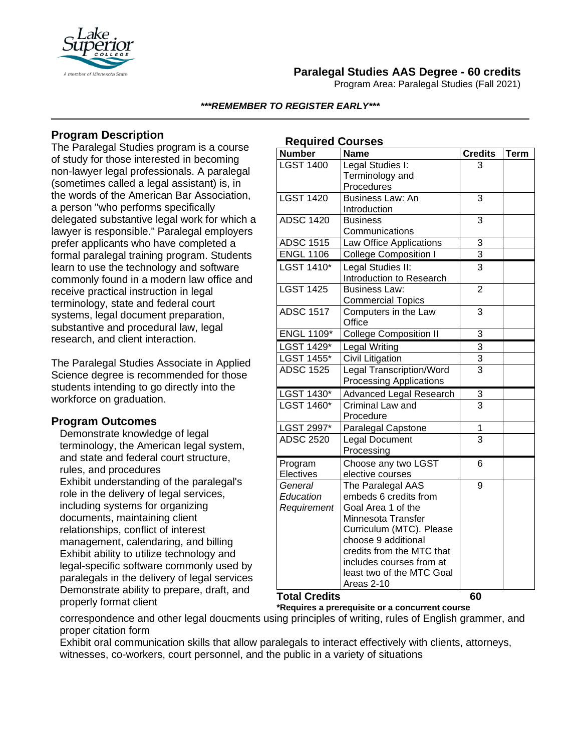

# **Paralegal Studies AAS Degree - 60 credits**

Program Area: Paralegal Studies (Fall 2021)

#### *\*\*\*REMEMBER TO REGISTER EARLY\*\*\**

## **Program Description**

The Paralegal Studies program is a course of study for those interested in becoming non-lawyer legal professionals. A paralegal (sometimes called a legal assistant) is, in the words of the American Bar Association, a person "who performs specifically delegated substantive legal work for which a lawyer is responsible." Paralegal employers prefer applicants who have completed a formal paralegal training program. Students learn to use the technology and software commonly found in a modern law office and receive practical instruction in legal terminology, state and federal court systems, legal document preparation, substantive and procedural law, legal research, and client interaction.

The Paralegal Studies Associate in Applied Science degree is recommended for those students intending to go directly into the workforce on graduation.

### **Program Outcomes**

Demonstrate knowledge of legal terminology, the American legal system, and state and federal court structure, rules, and procedures Exhibit understanding of the paralegal's role in the delivery of legal services, including systems for organizing documents, maintaining client relationships, conflict of interest management, calendaring, and billing Exhibit ability to utilize technology and legal-specific software commonly used by paralegals in the delivery of legal services Demonstrate ability to prepare, draft, and properly format client

| <b>Required Courses</b> |                                 |                |             |
|-------------------------|---------------------------------|----------------|-------------|
| <b>Number</b>           | <b>Name</b>                     | <b>Credits</b> | <b>Term</b> |
| <b>LGST 1400</b>        | Legal Studies I:                | 3              |             |
|                         | Terminology and                 |                |             |
|                         | Procedures                      |                |             |
| <b>LGST 1420</b>        | <b>Business Law: An</b>         | 3              |             |
|                         | Introduction                    |                |             |
| <b>ADSC 1420</b>        | <b>Business</b>                 | 3              |             |
|                         | Communications                  |                |             |
| <b>ADSC 1515</b>        | Law Office Applications         | 3              |             |
| <b>ENGL 1106</b>        | <b>College Composition I</b>    | $\overline{3}$ |             |
| <b>LGST 1410*</b>       | Legal Studies II:               | 3              |             |
|                         | Introduction to Research        |                |             |
| <b>LGST 1425</b>        | <b>Business Law:</b>            | $\overline{2}$ |             |
|                         | <b>Commercial Topics</b>        |                |             |
| <b>ADSC 1517</b>        | Computers in the Law            | 3              |             |
|                         | Office                          |                |             |
| <b>ENGL 1109*</b>       | <b>College Composition II</b>   | 3              |             |
| LGST 1429*              | Legal Writing                   | $\overline{3}$ |             |
| <b>LGST 1455*</b>       | Civil Litigation                | $\overline{3}$ |             |
| <b>ADSC 1525</b>        | <b>Legal Transcription/Word</b> | $\overline{3}$ |             |
|                         | <b>Processing Applications</b>  |                |             |
| LGST 1430*              | Advanced Legal Research         | 3              |             |
| LGST 1460*              | Criminal Law and                | $\overline{3}$ |             |
|                         | Procedure                       |                |             |
| LGST 2997*              | Paralegal Capstone              | 1              |             |
| <b>ADSC 2520</b>        | <b>Legal Document</b>           | $\overline{3}$ |             |
|                         | Processing                      |                |             |
| Program                 | Choose any two LGST             | 6              |             |
| Electives               | elective courses                |                |             |
| General                 | The Paralegal AAS               | 9              |             |
| Education               | embeds 6 credits from           |                |             |
| Requirement             | Goal Area 1 of the              |                |             |
|                         | Minnesota Transfer              |                |             |
|                         | Curriculum (MTC). Please        |                |             |
|                         | choose 9 additional             |                |             |
|                         | credits from the MTC that       |                |             |
|                         | includes courses from at        |                |             |
|                         | least two of the MTC Goal       |                |             |
|                         | Areas 2-10                      |                |             |

**Total Credits 60**

**\*Requires a prerequisite or a concurrent course**

correspondence and other legal doucments using principles of writing, rules of English grammer, and proper citation form

Exhibit oral communication skills that allow paralegals to interact effectively with clients, attorneys, witnesses, co-workers, court personnel, and the public in a variety of situations